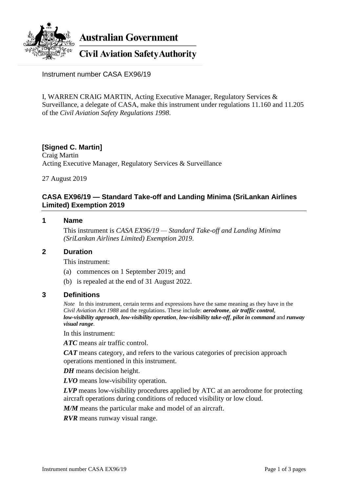

**Australian Government** 

**Civil Aviation Safety Authority** 

Instrument number CASA EX96/19

I, WARREN CRAIG MARTIN, Acting Executive Manager, Regulatory Services & Surveillance, a delegate of CASA, make this instrument under regulations 11.160 and 11.205 of the *Civil Aviation Safety Regulations 1998*.

# **[Signed C. Martin]**

Craig Martin Acting Executive Manager, Regulatory Services & Surveillance

27 August 2019

### **CASA EX96/19 — Standard Take-off and Landing Minima (SriLankan Airlines Limited) Exemption 2019**

#### **1 Name**

This instrument is *CASA EX96/19 — Standard Take-off and Landing Minima (SriLankan Airlines Limited) Exemption 2019*.

#### **2 Duration**

This instrument:

- (a) commences on 1 September 2019; and
- (b) is repealed at the end of 31 August 2022.

#### **3 Definitions**

*Note* In this instrument, certain terms and expressions have the same meaning as they have in the *Civil Aviation Act 1988* and the regulations. These include: *aerodrome*, *air traffic control*, *low-visibility approach*, *low-visibility operation*, *low-visibility take-off*, *pilot in command* and *runway visual range*.

In this instrument:

*ATC* means air traffic control.

*CAT* means category, and refers to the various categories of precision approach operations mentioned in this instrument.

*DH* means decision height.

*LVO* means low-visibility operation.

*LVP* means low-visibility procedures applied by ATC at an aerodrome for protecting aircraft operations during conditions of reduced visibility or low cloud.

*M/M* means the particular make and model of an aircraft.

*RVR* means runway visual range.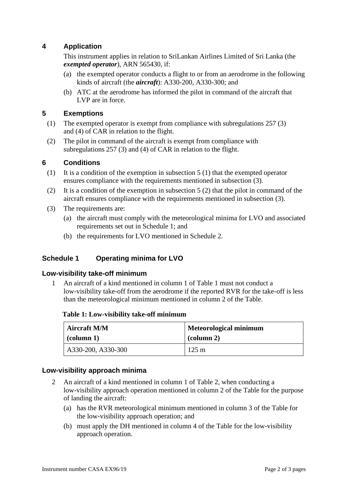# **4 Application**

This instrument applies in relation to SriLankan Airlines Limited of Sri Lanka (the *exempted operator*), ARN 565430, if:

- (a) the exempted operator conducts a flight to or from an aerodrome in the following kinds of aircraft (the *aircraft*): A330-200, A330-300; and
- (b) ATC at the aerodrome has informed the pilot in command of the aircraft that LVP are in force.

## **5 Exemptions**

- (1) The exempted operator is exempt from compliance with subregulations 257 (3) and (4) of CAR in relation to the flight.
- (2) The pilot in command of the aircraft is exempt from compliance with subregulations 257 (3) and (4) of CAR in relation to the flight.

## **6 Conditions**

- (1) It is a condition of the exemption in subsection 5 (1) that the exempted operator ensures compliance with the requirements mentioned in subsection (3).
- (2) It is a condition of the exemption in subsection 5 (2) that the pilot in command of the aircraft ensures compliance with the requirements mentioned in subsection (3).
- (3) The requirements are:
	- (a) the aircraft must comply with the meteorological minima for LVO and associated requirements set out in Schedule 1; and
	- (b) the requirements for LVO mentioned in Schedule 2.

# **Schedule 1 Operating minima for LVO**

#### **Low-visibility take-off minimum**

1 An aircraft of a kind mentioned in column 1 of Table 1 must not conduct a low-visibility take-off from the aerodrome if the reported RVR for the take-off is less than the meteorological minimum mentioned in column 2 of the Table.

| Table 1: Low-visibility take-off minimum |  |
|------------------------------------------|--|
|------------------------------------------|--|

| <b>Aircraft M/M</b> | <b>Meteorological minimum</b> |  |
|---------------------|-------------------------------|--|
| $\alpha$ (column 1) | $\alpha$ (column 2)           |  |
| A330-200, A330-300  | $125 \text{ m}$               |  |

#### **Low-visibility approach minima**

- 2 An aircraft of a kind mentioned in column 1 of Table 2, when conducting a low-visibility approach operation mentioned in column 2 of the Table for the purpose of landing the aircraft:
	- (a) has the RVR meteorological minimum mentioned in column 3 of the Table for the low-visibility approach operation; and
	- (b) must apply the DH mentioned in column 4 of the Table for the low-visibility approach operation.